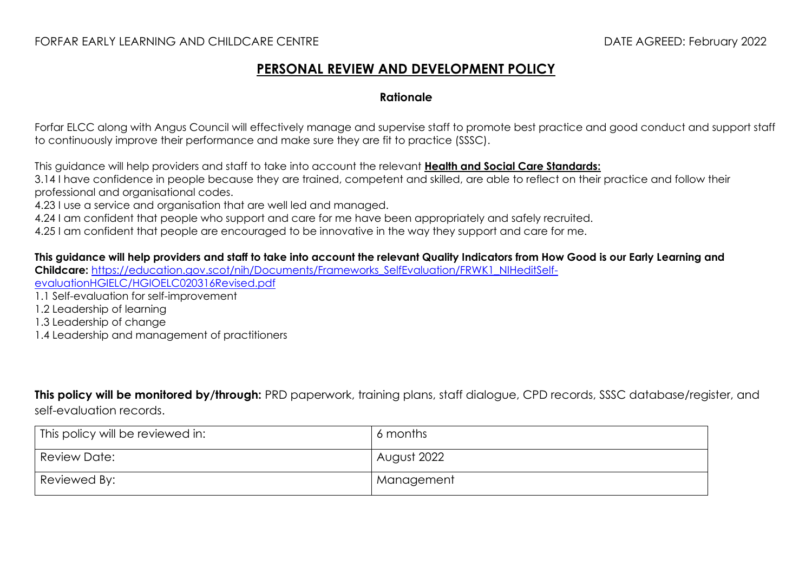## FORFAR EARLY LEARNING AND CHILDCARE CENTRE DATE AGREED: February 2022

## **PERSONAL REVIEW AND DEVELOPMENT POLICY**

## **Rationale**

Forfar ELCC along with Angus Council will effectively manage and supervise staff to promote best practice and good conduct and support staff to continuously improve their performance and make sure they are fit to practice (SSSC).

This guidance will help providers and staff to take into account the relevant **[Health and Social Care Standards:](https://www.gov.scot/binaries/content/documents/govscot/publications/advice-and-guidance/2017/06/health-social-care-standards-support-life/documents/00520693-pdf/00520693-pdf/govscot%3Adocument/00520693.pdf)**

3.14 I have confidence in people because they are trained, competent and skilled, are able to reflect on their practice and follow their professional and organisational codes.

4.23 I use a service and organisation that are well led and managed.

4.24 I am confident that people who support and care for me have been appropriately and safely recruited.

4.25 I am confident that people are encouraged to be innovative in the way they support and care for me.

**This guidance will help providers and staff to take into account the relevant Quality Indicators from How Good is our Early Learning and Childcare:** [https://education.gov.scot/nih/Documents/Frameworks\\_SelfEvaluation/FRWK1\\_NIHeditSelf](https://education.gov.scot/nih/Documents/Frameworks_SelfEvaluation/FRWK1_NIHeditSelf-evaluationHGIELC/HGIOELC020316Revised.pdf)[evaluationHGIELC/HGIOELC020316Revised.pdf](https://education.gov.scot/nih/Documents/Frameworks_SelfEvaluation/FRWK1_NIHeditSelf-evaluationHGIELC/HGIOELC020316Revised.pdf) 1.1 Self-evaluation for self-improvement 1.2 Leadership of learning 1.3 Leadership of change 1.4 Leadership and management of practitioners

**This policy will be monitored by/through:** PRD paperwork, training plans, staff dialogue, CPD records, SSSC database/register, and self-evaluation records.

| This policy will be reviewed in: | 6 months    |
|----------------------------------|-------------|
| Review Date:                     | August 2022 |
| Reviewed By:                     | Management  |